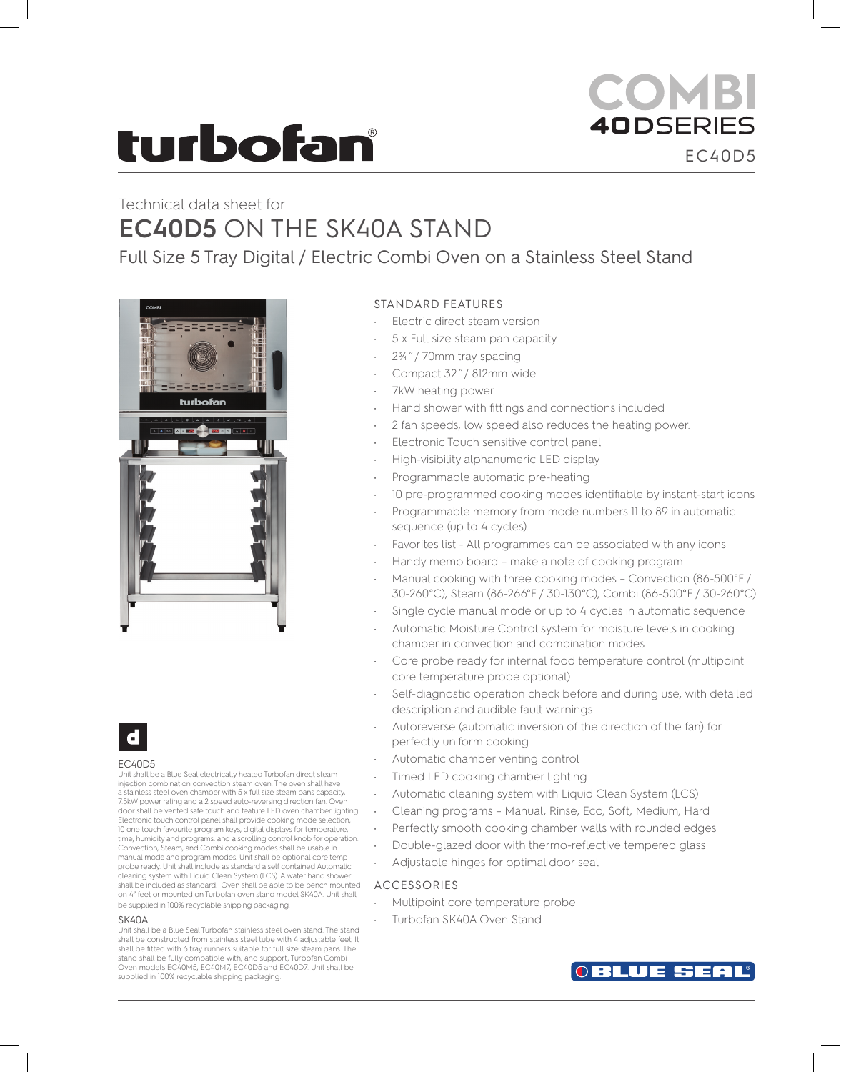# **turbofan**

# COMBI **40DSERIES** EC40D5

# Technical data sheet for **EC40D5** ON THE SK40A STAND

Full Size 5 Tray Digital / Electric Combi Oven on a Stainless Steel Stand





#### EC40D5

Unit shall be a Blue Seal electrically heated Turbofan direct steam injection combination convection steam oven. The oven shall have a stainless steel oven chamber with 5 x full size steam pans capacity, 7.5kW power rating and a 2 speed auto-reversing direction fan. Oven door shall be vented safe touch and feature LED oven chamber lighting. Electronic touch control panel shall provide cooking mode selection, 10 one touch favourite program keys, digital displays for temperature, time, humidity and programs, and a scrolling control knob for operation. Convection, Steam, and Combi cooking modes shall be usable in manual mode and program modes. Unit shall be optional core temp probe ready. Unit shall include as standard a self contained Automatic cleaning system with Liquid Clean System (LCS). A water hand shower shall be included as standard. Oven shall be able to be bench mounted on 4" feet or mounted on Turbofan oven stand model SK40A. Unit shall be supplied in 100% recyclable shipping packaging.

#### **SK40A**

Unit shall be a Blue Seal Turbofan stainless steel oven stand. The stand shall be constructed from stainless steel tube with 4 adjustable feet. It shall be fitted with 6 tray runners suitable for full size steam pans. The stand shall be fully compatible with, and support, Turbofan Combi Oven models EC40M5, EC40M7, EC40D5 and EC40D7. Unit shall be supplied in 100% recyclable shipping packaging.

# STANDARD FEATURES

- Electric direct steam version
- 5 x Full size steam pan capacity
- 2¾˝/ 70mm tray spacing
- Compact 32˝/ 812mm wide
- 7kW heating power
- Hand shower with fittings and connections included
- 2 fan speeds, low speed also reduces the heating power.
- Electronic Touch sensitive control panel
- High-visibility alphanumeric LED display
- Programmable automatic pre-heating
- 10 pre-programmed cooking modes identifiable by instant-start icons
- Programmable memory from mode numbers 11 to 89 in automatic sequence (up to 4 cycles).
- Favorites list All programmes can be associated with any icons
- Handy memo board make a note of cooking program
- Manual cooking with three cooking modes Convection (86-500°F / 30-260°C), Steam (86-266°F / 30-130°C), Combi (86-500°F / 30-260°C)
- Single cycle manual mode or up to 4 cycles in automatic sequence
- Automatic Moisture Control system for moisture levels in cooking chamber in convection and combination modes
- Core probe ready for internal food temperature control (multipoint core temperature probe optional)
- Self-diagnostic operation check before and during use, with detailed description and audible fault warnings
- Autoreverse (automatic inversion of the direction of the fan) for perfectly uniform cooking
- Automatic chamber venting control
- Timed LED cooking chamber lighting
- Automatic cleaning system with Liquid Clean System (LCS)
- Cleaning programs Manual, Rinse, Eco, Soft, Medium, Hard
- Perfectly smooth cooking chamber walls with rounded edges
- Double-glazed door with thermo-reflective tempered glass
- Adjustable hinges for optimal door seal

## ACCESSORIES

- Multipoint core temperature probe
- Turbofan SK40A Oven Stand